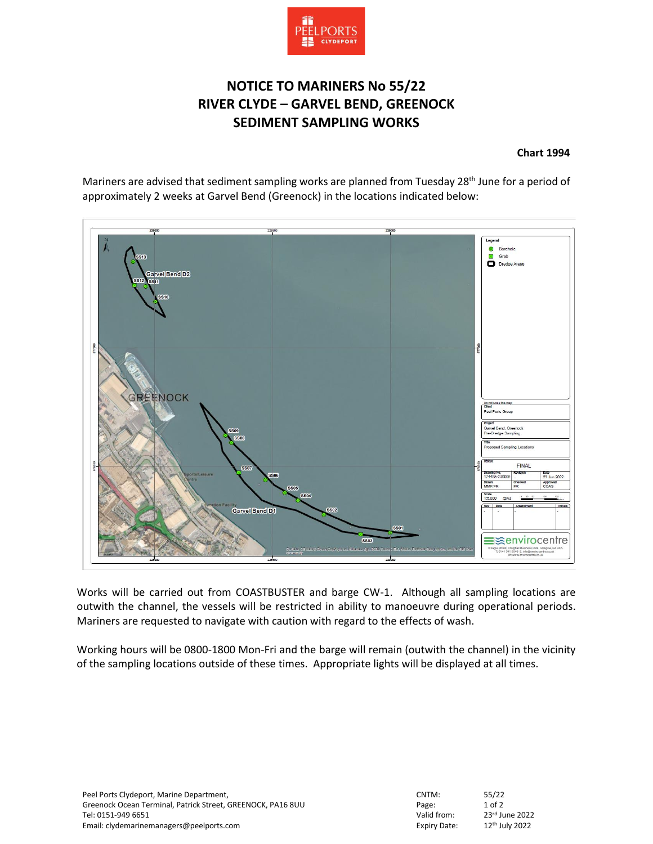

## **NOTICE TO MARINERS No 55/22 RIVER CLYDE – GARVEL BEND, GREENOCK SEDIMENT SAMPLING WORKS**

## **Chart 1994**

Mariners are advised that sediment sampling works are planned from Tuesday 28<sup>th</sup> June for a period of approximately 2 weeks at Garvel Bend (Greenock) in the locations indicated below:



Works will be carried out from COASTBUSTER and barge CW-1. Although all sampling locations are outwith the channel, the vessels will be restricted in ability to manoeuvre during operational periods. Mariners are requested to navigate with caution with regard to the effects of wash.

Working hours will be 0800-1800 Mon-Fri and the barge will remain (outwith the channel) in the vicinity of the sampling locations outside of these times. Appropriate lights will be displayed at all times.